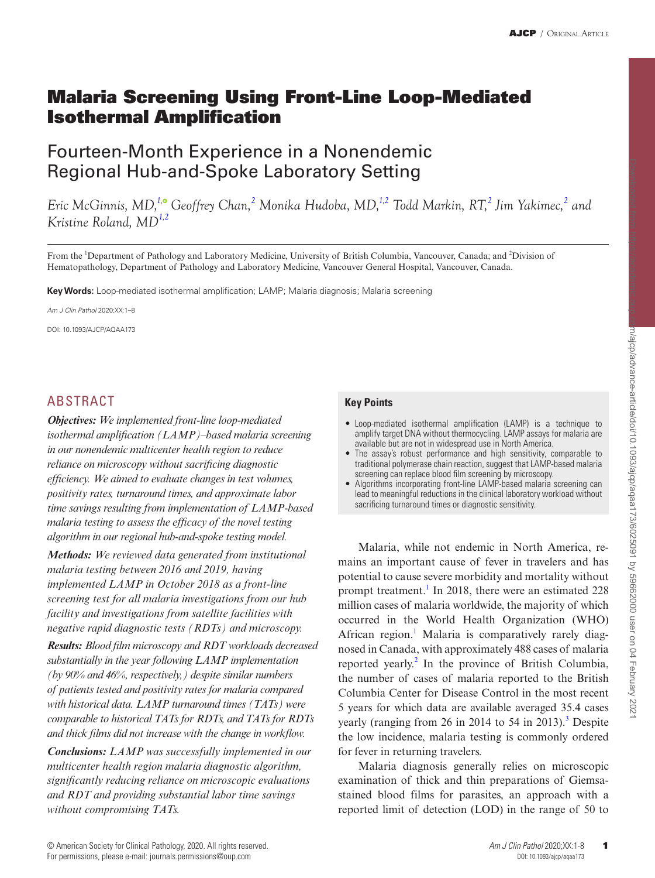# Malaria Screening Using Front-Line Loop-Mediated Isothermal Amplification

# Fourteen-Month Experience in a Nonendemic Regional Hub-and-Spoke Laboratory Setting

*Eric McGinnis, MD[,1](#page-0-0)[,](http://orcid.org/0000-0003-3360-5471) Geoffrey Chan, [2](#page-0-1) Monika Hudoba, MD[,1](#page-0-0)[,2](#page-0-1) Todd Markin, RT,[2](#page-0-1) Jim Yakimec, [2](#page-0-1) and Kristine Roland, MD[1,](#page-0-0)[2](#page-0-1)*

<span id="page-0-1"></span><span id="page-0-0"></span>From the <sup>1</sup>Department of Pathology and Laboratory Medicine, University of British Columbia, Vancouver, Canada; and <sup>2</sup>Division of Hematopathology, Department of Pathology and Laboratory Medicine, Vancouver General Hospital, Vancouver, Canada.

**Key Words:** Loop-mediated isothermal amplification; LAMP; Malaria diagnosis; Malaria screening

*Am J Clin Pathol* 2020;XX:1–8

DOI: 10.1093/AJCP/AQAA173

## ABSTRACT

*Objectives: We implemented front-line loop-mediated isothermal amplification (LAMP)–based malaria screening in our nonendemic multicenter health region to reduce reliance on microscopy without sacrificing diagnostic efficiency. We aimed to evaluate changes in test volumes, positivity rates, turnaround times, and approximate labor time savings resulting from implementation of LAMP-based malaria testing to assess the efficacy of the novel testing algorithm in our regional hub-and-spoke testing model.*

*Methods: We reviewed data generated from institutional malaria testing between 2016 and 2019, having implemented LAMP in October 2018 as a front-line screening test for all malaria investigations from our hub facility and investigations from satellite facilities with negative rapid diagnostic tests (RDTs) and microscopy.*

*Results: Blood film microscopy and RDT workloads decreased substantially in the year following LAMP implementation (by 90% and 46%, respectively,) despite similar numbers of patients tested and positivity rates for malaria compared with historical data. LAMP turnaround times (TATs) were comparable to historical TATs for RDTs, and TATs for RDTs and thick films did not increase with the change in workflow.*

*Conclusions: LAMP was successfully implemented in our multicenter health region malaria diagnostic algorithm, significantly reducing reliance on microscopic evaluations and RDT and providing substantial labor time savings without compromising TATs.*

#### **Key Points**

- Loop-mediated isothermal amplification (LAMP) is a technique to amplify target DNA without thermocycling. LAMP assays for malaria are available but are not in widespread use in North America.
- The assay's robust performance and high sensitivity, comparable to traditional polymerase chain reaction, suggest that LAMP-based malaria screening can replace blood film screening by microscopy.
- Algorithms incorporating front-line LAMP-based malaria screening can lead to meaningful reductions in the clinical laboratory workload without sacrificing turnaround times or diagnostic sensitivity.

Malaria, while not endemic in North America, remains an important cause of fever in travelers and has potential to cause severe morbidity and mortality without prompt treatment.<sup>[1](#page-6-0)</sup> In 2018, there were an estimated 228 million cases of malaria worldwide, the majority of which occurred in the World Health Organization (WHO) African region.<sup>[1](#page-6-0)</sup> Malaria is comparatively rarely diagnosed in Canada, with approximately 488 cases of malaria reported yearly.<sup>[2](#page-6-1)</sup> In the province of British Columbia, the number of cases of malaria reported to the British Columbia Center for Disease Control in the most recent 5 years for which data are available averaged 35.4 cases yearly (ranging from 26 in 2014 to 54 in 2013).<sup>3</sup> Despite the low incidence, malaria testing is commonly ordered for fever in returning travelers.

Malaria diagnosis generally relies on microscopic examination of thick and thin preparations of Giemsastained blood films for parasites, an approach with a reported limit of detection (LOD) in the range of 50 to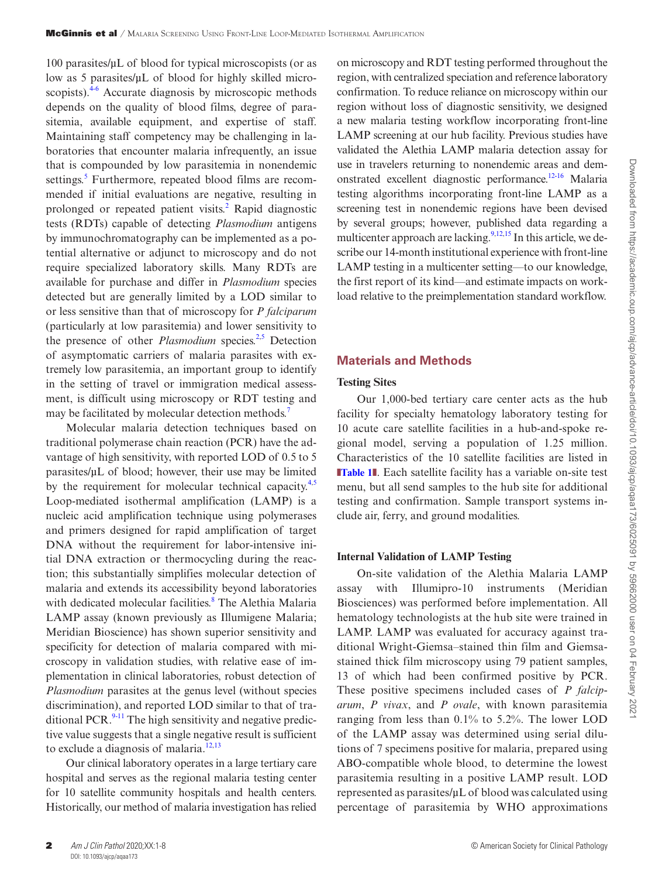100 parasites/µL of blood for typical microscopists (or as low as 5 parasites/µL of blood for highly skilled micro-scopists).<sup>[4](#page-7-1)[-6](#page-7-2)</sup> Accurate diagnosis by microscopic methods depends on the quality of blood films, degree of parasitemia, available equipment, and expertise of staff. Maintaining staff competency may be challenging in laboratories that encounter malaria infrequently, an issue that is compounded by low parasitemia in nonendemic settings.<sup>[5](#page-7-3)</sup> Furthermore, repeated blood films are recommended if initial evaluations are negative, resulting in prolonged or repeated patient visits.<sup>[2](#page-6-1)</sup> Rapid diagnostic tests (RDTs) capable of detecting *Plasmodium* antigens by immunochromatography can be implemented as a potential alternative or adjunct to microscopy and do not require specialized laboratory skills. Many RDTs are available for purchase and differ in *Plasmodium* species detected but are generally limited by a LOD similar to or less sensitive than that of microscopy for *P falciparum* (particularly at low parasitemia) and lower sensitivity to the presence of other *Plasmodium* species.<sup>[2](#page-6-1),[5](#page-7-3)</sup> Detection of asymptomatic carriers of malaria parasites with extremely low parasitemia, an important group to identify in the setting of travel or immigration medical assessment, is difficult using microscopy or RDT testing and may be facilitated by molecular detection methods.<sup>[7](#page-7-4)</sup>

Molecular malaria detection techniques based on traditional polymerase chain reaction (PCR) have the advantage of high sensitivity, with reported LOD of 0.5 to 5 parasites/µL of blood; however, their use may be limited by the requirement for molecular technical capacity.<sup>[4](#page-7-1)[,5](#page-7-3)</sup> Loop-mediated isothermal amplification (LAMP) is a nucleic acid amplification technique using polymerases and primers designed for rapid amplification of target DNA without the requirement for labor-intensive initial DNA extraction or thermocycling during the reaction; this substantially simplifies molecular detection of malaria and extends its accessibility beyond laboratories with dedicated molecular facilities.<sup>8</sup> The Alethia Malaria LAMP assay (known previously as Illumigene Malaria; Meridian Bioscience) has shown superior sensitivity and specificity for detection of malaria compared with microscopy in validation studies, with relative ease of implementation in clinical laboratories, robust detection of *Plasmodium* parasites at the genus level (without species discrimination), and reported LOD similar to that of traditional PCR. $<sup>9-11</sup>$  $<sup>9-11</sup>$  $<sup>9-11</sup>$  $<sup>9-11</sup>$  The high sensitivity and negative predic-</sup> tive value suggests that a single negative result is sufficient to exclude a diagnosis of malaria.<sup>[12](#page-7-8)[,13](#page-7-9)</sup>

Our clinical laboratory operates in a large tertiary care hospital and serves as the regional malaria testing center for 10 satellite community hospitals and health centers. Historically, our method of malaria investigation has relied on microscopy and RDT testing performed throughout the region, with centralized speciation and reference laboratory confirmation. To reduce reliance on microscopy within our region without loss of diagnostic sensitivity, we designed a new malaria testing workflow incorporating front-line LAMP screening at our hub facility. Previous studies have validated the Alethia LAMP malaria detection assay for use in travelers returning to nonendemic areas and demonstrated excellent diagnostic performance.[12-](#page-7-8)[16](#page-7-10) Malaria testing algorithms incorporating front-line LAMP as a screening test in nonendemic regions have been devised by several groups; however, published data regarding a multicenter approach are lacking.  $9,12,15$  $9,12,15$  $9,12,15$  In this article, we describe our 14-month institutional experience with front-line LAMP testing in a multicenter setting—to our knowledge, the first report of its kind—and estimate impacts on workload relative to the preimplementation standard workflow.

#### **Materials and Methods**

#### **Testing Sites**

Our 1,000-bed tertiary care center acts as the hub facility for specialty hematology laboratory testing for 10 acute care satellite facilities in a hub-and-spoke regional model, serving a population of 1.25 million. Characteristics of the 10 satellite facilities are listed in **[Table 1](#page-2-0)1**. Each satellite facility has a variable on-site test menu, but all send samples to the hub site for additional testing and confirmation. Sample transport systems include air, ferry, and ground modalities.

#### **Internal Validation of LAMP Testing**

On-site validation of the Alethia Malaria LAMP assay with Illumipro-10 instruments (Meridian Biosciences) was performed before implementation. All hematology technologists at the hub site were trained in LAMP. LAMP was evaluated for accuracy against traditional Wright-Giemsa–stained thin film and Giemsastained thick film microscopy using 79 patient samples, 13 of which had been confirmed positive by PCR. These positive specimens included cases of *P falciparum*, *P vivax*, and *P ovale*, with known parasitemia ranging from less than 0.1% to 5.2%. The lower LOD of the LAMP assay was determined using serial dilutions of 7 specimens positive for malaria, prepared using ABO-compatible whole blood, to determine the lowest parasitemia resulting in a positive LAMP result. LOD represented as parasites/µL of blood was calculated using percentage of parasitemia by WHO approximations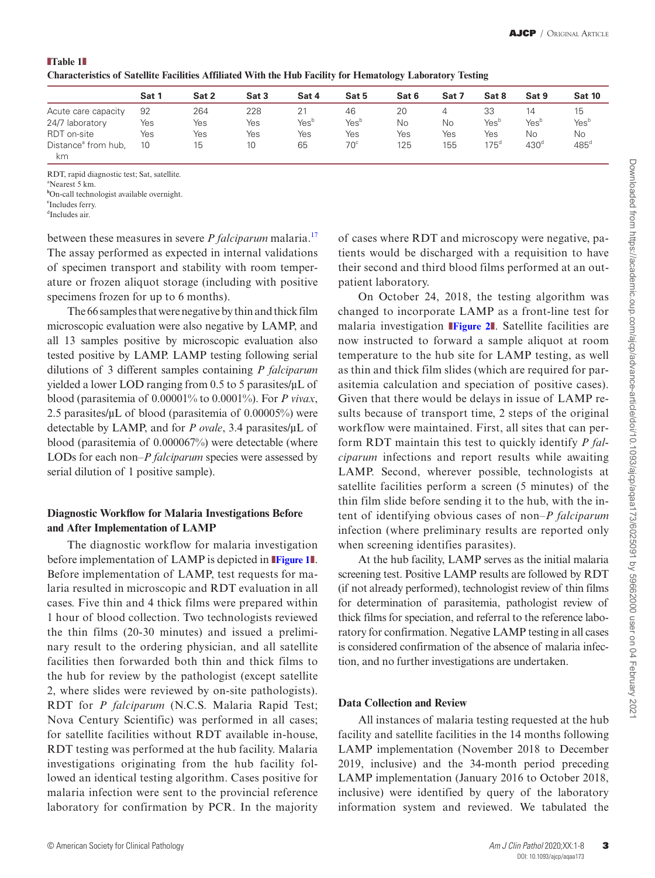<span id="page-2-0"></span>

| $\blacksquare$ Table $1\blacksquare$                                                                       |  |
|------------------------------------------------------------------------------------------------------------|--|
| Characteristics of Satellite Facilities Affiliated With the Hub Facility for Hematology Laboratory Testing |  |

|                                       | Sat 1 | Sat 2 | Sat 3 | Sat 4            | Sat 5            | Sat 6 | Sat 7 | Sat 8            | Sat 9            | <b>Sat 10</b>    |
|---------------------------------------|-------|-------|-------|------------------|------------------|-------|-------|------------------|------------------|------------------|
| Acute care capacity                   | 92    | 264   | 228   | 21               | 46               | 20    |       | 33               | 14               | 15               |
| 24/7 laboratory                       | Yes   | Yes   | Yes   | Yes <sup>b</sup> | Yes <sup>b</sup> | No    | No    | Yes <sup>b</sup> | Yes <sup>b</sup> | Yes <sup>b</sup> |
| RDT on-site                           | Yes   | Yes   | Yes   | Yes              | Yes              | Yes   | Yes   | Yes              | Νo               | No               |
| Distance <sup>ª</sup> from hub,<br>km | 10    | 15    | 10    | 65               | $70^{\circ}$     | 125   | 155   | $175^{\circ}$    | $430^\circ$      | $485^{\circ}$    |

RDT, rapid diagnostic test; Sat, satellite.

a Nearest 5 km.

**b** On-call technologist available overnight.

**c** Includes ferry.

d Includes air.

between these measures in severe *P falciparum* malaria.<sup>[17](#page-7-12)</sup> The assay performed as expected in internal validations of specimen transport and stability with room temperature or frozen aliquot storage (including with positive specimens frozen for up to 6 months).

The 66 samples that were negative by thin and thick film microscopic evaluation were also negative by LAMP, and all 13 samples positive by microscopic evaluation also tested positive by LAMP. LAMP testing following serial dilutions of 3 different samples containing *P falciparum* yielded a lower LOD ranging from 0.5 to 5 parasites/µL of blood (parasitemia of 0.00001% to 0.0001%). For *P vivax*, 2.5 parasites/ $\mu$ L of blood (parasitemia of 0.00005%) were detectable by LAMP, and for *P ovale*, 3.4 parasites/µL of blood (parasitemia of 0.000067%) were detectable (where LODs for each non–*P falciparum* species were assessed by serial dilution of 1 positive sample).

### **Diagnostic Workflow for Malaria Investigations Before and After Implementation of LAMP**

The diagnostic workflow for malaria investigation before implementation of LAMP is depicted in ❚**[Figure 1](#page-3-0)**❚. Before implementation of LAMP, test requests for malaria resulted in microscopic and RDT evaluation in all cases. Five thin and 4 thick films were prepared within 1 hour of blood collection. Two technologists reviewed the thin films (20-30 minutes) and issued a preliminary result to the ordering physician, and all satellite facilities then forwarded both thin and thick films to the hub for review by the pathologist (except satellite 2, where slides were reviewed by on-site pathologists). RDT for *P falciparum* (N.C.S. Malaria Rapid Test; Nova Century Scientific) was performed in all cases; for satellite facilities without RDT available in-house, RDT testing was performed at the hub facility. Malaria investigations originating from the hub facility followed an identical testing algorithm. Cases positive for malaria infection were sent to the provincial reference laboratory for confirmation by PCR. In the majority of cases where RDT and microscopy were negative, patients would be discharged with a requisition to have their second and third blood films performed at an outpatient laboratory.

On October 24, 2018, the testing algorithm was changed to incorporate LAMP as a front-line test for malaria investigation ❚**[Figure 2](#page-3-1)**❚. Satellite facilities are now instructed to forward a sample aliquot at room temperature to the hub site for LAMP testing, as well as thin and thick film slides (which are required for parasitemia calculation and speciation of positive cases). Given that there would be delays in issue of LAMP results because of transport time, 2 steps of the original workflow were maintained. First, all sites that can perform RDT maintain this test to quickly identify *P falciparum* infections and report results while awaiting LAMP. Second, wherever possible, technologists at satellite facilities perform a screen (5 minutes) of the thin film slide before sending it to the hub, with the intent of identifying obvious cases of non–*P falciparum* infection (where preliminary results are reported only when screening identifies parasites).

At the hub facility, LAMP serves as the initial malaria screening test. Positive LAMP results are followed by RDT (if not already performed), technologist review of thin films for determination of parasitemia, pathologist review of thick films for speciation, and referral to the reference laboratory for confirmation. Negative LAMP testing in all cases is considered confirmation of the absence of malaria infection, and no further investigations are undertaken.

### **Data Collection and Review**

All instances of malaria testing requested at the hub facility and satellite facilities in the 14 months following LAMP implementation (November 2018 to December 2019, inclusive) and the 34-month period preceding LAMP implementation (January 2016 to October 2018, inclusive) were identified by query of the laboratory information system and reviewed. We tabulated the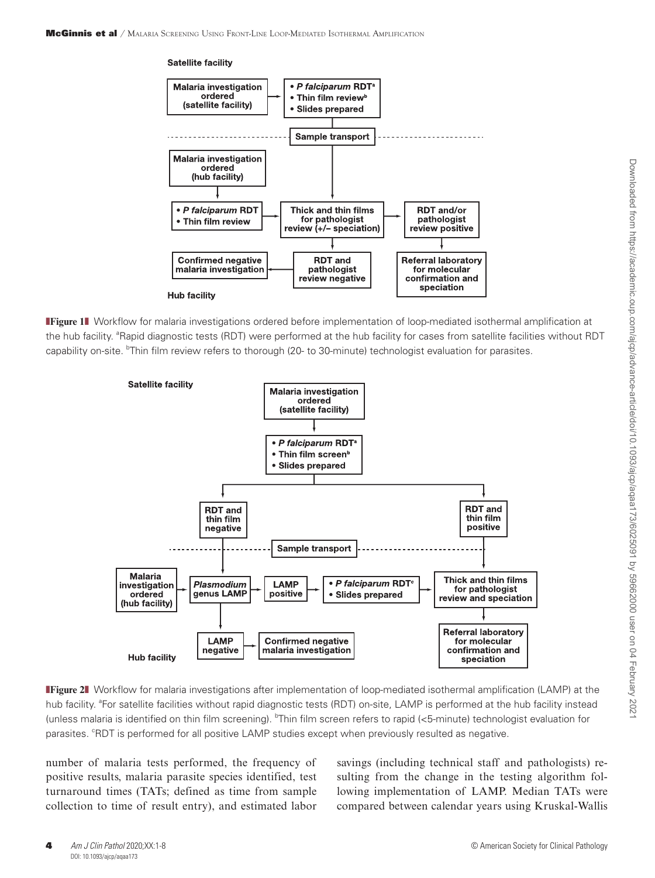

**Figure 1** Workflow for malaria investigations ordered before implementation of loop-mediated isothermal amplification at the hub facility. <sup>a</sup>Rapid diagnostic tests (RDT) were performed at the hub facility for cases from satellite facilities without RDT capability on-site. <sup>b</sup>Thin film review refers to thorough (20- to 30-minute) technologist evaluation for parasites.

<span id="page-3-0"></span>

<span id="page-3-1"></span>**Figure 2** Workflow for malaria investigations after implementation of loop-mediated isothermal amplification (LAMP) at the hub facility. <sup>a</sup>For satellite facilities without rapid diagnostic tests (RDT) on-site, LAMP is performed at the hub facility instead (unless malaria is identified on thin film screening). <sup>b</sup>Thin film screen refers to rapid (<5-minute) technologist evaluation for parasites. <sup>°</sup>RDT is performed for all positive LAMP studies except when previously resulted as negative.

number of malaria tests performed, the frequency of positive results, malaria parasite species identified, test turnaround times (TATs; defined as time from sample collection to time of result entry), and estimated labor

savings (including technical staff and pathologists) resulting from the change in the testing algorithm following implementation of LAMP. Median TATs were compared between calendar years using Kruskal-Wallis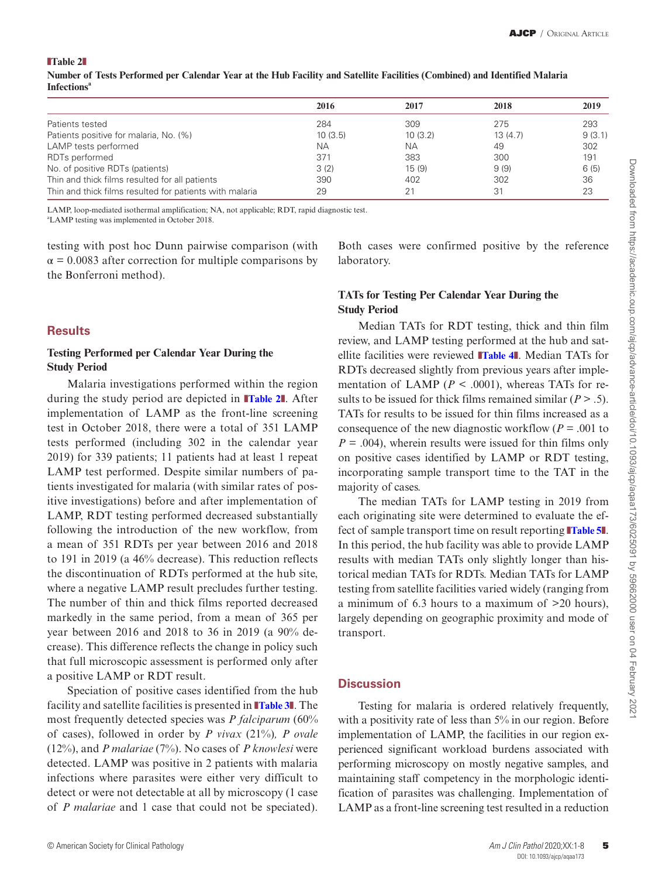<span id="page-4-0"></span>❚**Table 2**❚

|                                                         | 2016      | 2017      | 2018    | 2019   |
|---------------------------------------------------------|-----------|-----------|---------|--------|
| Patients tested                                         | 284       | 309       | 275     | 293    |
| Patients positive for malaria, No. (%)                  | 10(3.5)   | 10(3.2)   | 13(4.7) | 9(3.1) |
| LAMP tests performed                                    | <b>NA</b> | <b>NA</b> | 49      | 302    |
| RDTs performed                                          | 371       | 383       | 300     | 191    |
| No. of positive RDTs (patients)                         | 3(2)      | 15(9)     | 9(9)    | 6(5)   |
| Thin and thick films resulted for all patients          | 390       | 402       | 302     | 36     |
| Thin and thick films resulted for patients with malaria | 29        | 21        | 31      | 23     |

**Number of Tests Performed per Calendar Year at the Hub Facility and Satellite Facilities (Combined) and Identified Malaria Infectionsa**

LAMP, loop-mediated isothermal amplification; NA, not applicable; RDT, rapid diagnostic test.

a LAMP testing was implemented in October 2018.

testing with post hoc Dunn pairwise comparison (with  $\alpha$  = 0.0083 after correction for multiple comparisons by the Bonferroni method).

### **Results**

### **Testing Performed per Calendar Year During the Study Period**

Malaria investigations performed within the region during the study period are depicted in ❚**[Table 2](#page-4-0)**❚. After implementation of LAMP as the front-line screening test in October 2018, there were a total of 351 LAMP tests performed (including 302 in the calendar year 2019) for 339 patients; 11 patients had at least 1 repeat LAMP test performed. Despite similar numbers of patients investigated for malaria (with similar rates of positive investigations) before and after implementation of LAMP, RDT testing performed decreased substantially following the introduction of the new workflow, from a mean of 351 RDTs per year between 2016 and 2018 to 191 in 2019 (a 46% decrease). This reduction reflects the discontinuation of RDTs performed at the hub site, where a negative LAMP result precludes further testing. The number of thin and thick films reported decreased markedly in the same period, from a mean of 365 per year between 2016 and 2018 to 36 in 2019 (a 90% decrease). This difference reflects the change in policy such that full microscopic assessment is performed only after a positive LAMP or RDT result.

Speciation of positive cases identified from the hub facility and satellite facilities is presented in ❚**[Table 3](#page-5-0)**❚. The most frequently detected species was *P falciparum* (60% of cases), followed in order by *P vivax* (21%)*, P ovale* (12%), and *P malariae* (7%). No cases of *P knowlesi* were detected. LAMP was positive in 2 patients with malaria infections where parasites were either very difficult to detect or were not detectable at all by microscopy (1 case of *P malariae* and 1 case that could not be speciated).

Both cases were confirmed positive by the reference laboratory.

## **TATs for Testing Per Calendar Year During the Study Period**

Median TATs for RDT testing, thick and thin film review, and LAMP testing performed at the hub and satellite facilities were reviewed ❚**[Table 4](#page-5-1)**❚. Median TATs for RDTs decreased slightly from previous years after implementation of LAMP ( $P < .0001$ ), whereas TATs for results to be issued for thick films remained similar  $(P > .5)$ . TATs for results to be issued for thin films increased as a consequence of the new diagnostic workflow ( $P = .001$  to  $P = .004$ , wherein results were issued for thin films only on positive cases identified by LAMP or RDT testing, incorporating sample transport time to the TAT in the majority of cases.

The median TATs for LAMP testing in 2019 from each originating site were determined to evaluate the effect of sample transport time on result reporting ❚**[Table 5](#page-5-2)**❚. In this period, the hub facility was able to provide LAMP results with median TATs only slightly longer than historical median TATs for RDTs. Median TATs for LAMP testing from satellite facilities varied widely (ranging from a minimum of 6.3 hours to a maximum of >20 hours), largely depending on geographic proximity and mode of transport.

## **Discussion**

Testing for malaria is ordered relatively frequently, with a positivity rate of less than 5% in our region. Before implementation of LAMP, the facilities in our region experienced significant workload burdens associated with performing microscopy on mostly negative samples, and maintaining staff competency in the morphologic identification of parasites was challenging. Implementation of LAMP as a front-line screening test resulted in a reduction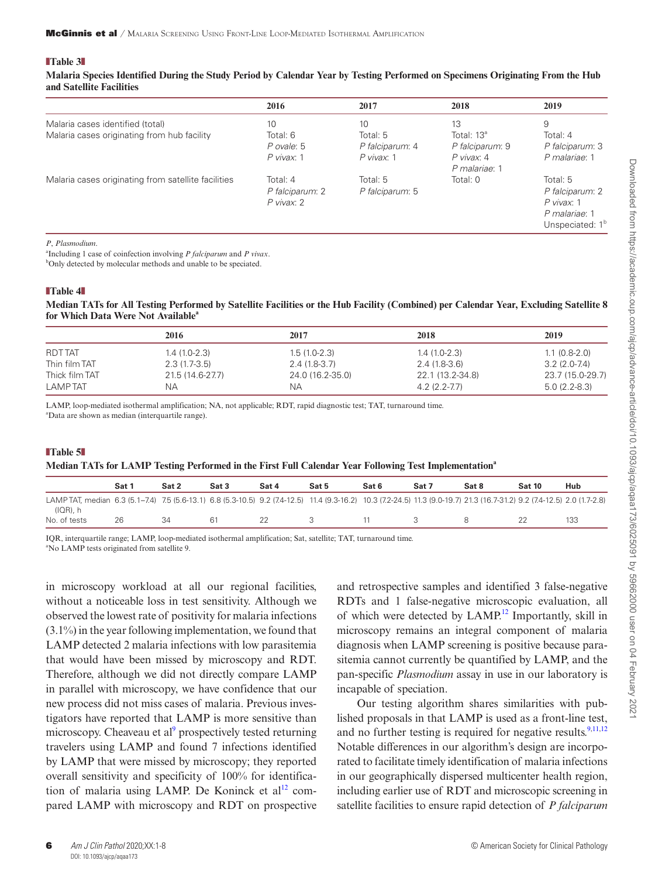#### <span id="page-5-0"></span>❚**Table 3**❚

**Malaria Species Identified During the Study Period by Calendar Year by Testing Performed on Specimens Originating From the Hub and Satellite Facilities**

|                                                     | 2016            | 2017            | 2018            | 2019                        |
|-----------------------------------------------------|-----------------|-----------------|-----------------|-----------------------------|
| Malaria cases identified (total)                    | 10              | 10              | 13              | 9                           |
| Malaria cases originating from hub facility         | Total: 6        | Total: $5$      | Total: $13^a$   | Total: 4                    |
|                                                     | P ovale: 5      | P falciparum: 4 | P falciparum: 9 | P falciparum: 3             |
|                                                     | P vivax: 1      | P vivax: 1      | P vivax: 4      | P malariae: 1               |
|                                                     |                 |                 | P malariae: 1   |                             |
| Malaria cases originating from satellite facilities | Total: 4        | Total: 5        | Total: $0$      | Total: 5                    |
|                                                     | P falciparum: 2 | P falciparum: 5 |                 | P falciparum: 2             |
|                                                     | P vivax: 2      |                 |                 | P vivax: 1                  |
|                                                     |                 |                 |                 | P malariae: 1               |
|                                                     |                 |                 |                 | Unspeciated: 1 <sup>b</sup> |

#### *P*, *Plasmodium*.

a Including 1 case of coinfection involving *P falciparum* and *P vivax*. <sup>b</sup>Only detected by molecular methods and unable to be speciated.

## <span id="page-5-1"></span>❚**Table 4**❚

**Median TATs for All Testing Performed by Satellite Facilities or the Hub Facility (Combined) per Calendar Year, Excluding Satellite 8 for Which Data Were Not Available**<sup>4</sup>

|                | 2016             | 2017             | 2018             | 2019             |
|----------------|------------------|------------------|------------------|------------------|
| <b>RDTTAT</b>  | $1.4(1.0-2.3)$   | $1.5(1.0-2.3)$   | $1.4(1.0-2.3)$   | $1.1(0.8-2.0)$   |
| Thin film TAT  | $2.3(1.7-3.5)$   | $2.4(1.8-3.7)$   | 2.4 (1.8-3.6)    | $3.2(2.0 - 7.4)$ |
| Thick film TAT | 21.5 (14.6-27.7) | 24.0 (16.2-35.0) | 22.1 (13.2-34.8) | 23.7 (15.0-29.7) |
| <b>LAMPTAT</b> | NА               | NA.              | $4.2(2.2 - 7.7)$ | $5.0(2.2-8.3)$   |

LAMP, loop-mediated isothermal amplification; NA, not applicable; RDT, rapid diagnostic test; TAT, turnaround time. a Data are shown as median (interquartile range).

## <span id="page-5-2"></span>❚**Table 5**❚ **Median TATs for LAMP Testing Performed in the First Full Calendar Year Following Test Implementationa**

|                                                                                                                                                                                          | Sat 1 | Sat 2 | Sat 3 | Sat 4 | Sat 5 | Sat 6 | Sat 7 | Sat 8 | <b>Sat 10</b> | Hub |
|------------------------------------------------------------------------------------------------------------------------------------------------------------------------------------------|-------|-------|-------|-------|-------|-------|-------|-------|---------------|-----|
| LAMP TAT, median 6.3 (5.1-7.4) 7.5 (5.6-13.1) 6.8 (5.3-10.5) 9.2 (7.4-12.5) 11.4 (9.3-16.2) 10.3 (7.2-24.5) 11.3 (9.0-19.7) 21.3 (16.7-31.2) 9.2 (7.4-12.5) 2.0 (1.7-2.8)<br>$I(QR)$ , h |       |       |       |       |       |       |       |       |               |     |
| No. of tests                                                                                                                                                                             | 26    | 34    | 61    |       |       |       |       |       |               | 133 |

IQR, interquartile range; LAMP, loop-mediated isothermal amplification; Sat, satellite; TAT, turnaround time. a No LAMP tests originated from satellite 9.

in microscopy workload at all our regional facilities, without a noticeable loss in test sensitivity. Although we observed the lowest rate of positivity for malaria infections (3.1%) in the year following implementation, we found that LAMP detected 2 malaria infections with low parasitemia that would have been missed by microscopy and RDT. Therefore, although we did not directly compare LAMP in parallel with microscopy, we have confidence that our new process did not miss cases of malaria. Previous investigators have reported that LAMP is more sensitive than microscopy. Cheaveau et al<sup>[9](#page-7-6)</sup> prospectively tested returning travelers using LAMP and found 7 infections identified by LAMP that were missed by microscopy; they reported overall sensitivity and specificity of 100% for identification of malaria using LAMP. De Koninck et  $al<sup>12</sup>$  compared LAMP with microscopy and RDT on prospective

and retrospective samples and identified 3 false-negative RDTs and 1 false-negative microscopic evaluation, all of which were detected by  $LAMP<sup>12</sup>$  Importantly, skill in microscopy remains an integral component of malaria diagnosis when LAMP screening is positive because parasitemia cannot currently be quantified by LAMP, and the pan-specific *Plasmodium* assay in use in our laboratory is incapable of speciation.

Our testing algorithm shares similarities with published proposals in that LAMP is used as a front-line test, and no further testing is required for negative results. $9,11,12$  $9,11,12$  $9,11,12$  $9,11,12$ Notable differences in our algorithm's design are incorporated to facilitate timely identification of malaria infections in our geographically dispersed multicenter health region, including earlier use of RDT and microscopic screening in satellite facilities to ensure rapid detection of *P falciparum*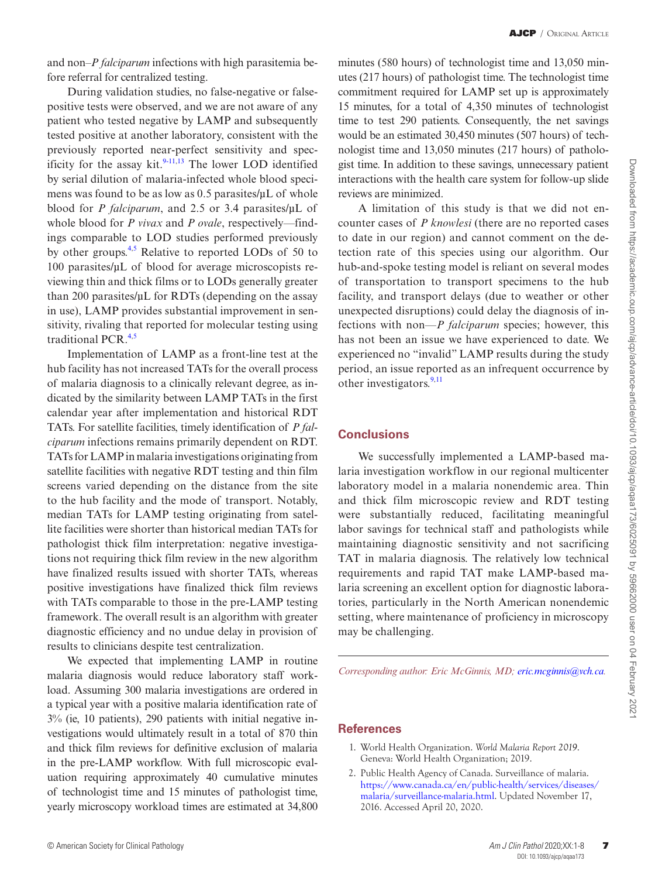and non–*P falciparum* infections with high parasitemia before referral for centralized testing.

During validation studies, no false-negative or falsepositive tests were observed, and we are not aware of any patient who tested negative by LAMP and subsequently tested positive at another laboratory, consistent with the previously reported near-perfect sensitivity and specificity for the assay kit. $9-11,13$  $9-11,13$  $9-11,13$  The lower LOD identified by serial dilution of malaria-infected whole blood specimens was found to be as low as 0.5 parasites/µL of whole blood for *P falciparum*, and 2.5 or 3.4 parasites/µL of whole blood for *P vivax* and *P ovale*, respectively—findings comparable to LOD studies performed previously by other groups.<sup>[4](#page-7-1),[5](#page-7-3)</sup> Relative to reported LODs of 50 to 100 parasites/µL of blood for average microscopists reviewing thin and thick films or to LODs generally greater than 200 parasites/ $\mu$ L for RDTs (depending on the assay in use), LAMP provides substantial improvement in sensitivity, rivaling that reported for molecular testing using traditional PCR.[4](#page-7-1),[5](#page-7-3)

Implementation of LAMP as a front-line test at the hub facility has not increased TATs for the overall process of malaria diagnosis to a clinically relevant degree, as indicated by the similarity between LAMP TATs in the first calendar year after implementation and historical RDT TATs. For satellite facilities, timely identification of *P falciparum* infections remains primarily dependent on RDT. TATs for LAMP in malaria investigations originating from satellite facilities with negative RDT testing and thin film screens varied depending on the distance from the site to the hub facility and the mode of transport. Notably, median TATs for LAMP testing originating from satellite facilities were shorter than historical median TATs for pathologist thick film interpretation: negative investigations not requiring thick film review in the new algorithm have finalized results issued with shorter TATs, whereas positive investigations have finalized thick film reviews with TATs comparable to those in the pre-LAMP testing framework. The overall result is an algorithm with greater diagnostic efficiency and no undue delay in provision of results to clinicians despite test centralization.

We expected that implementing LAMP in routine malaria diagnosis would reduce laboratory staff workload. Assuming 300 malaria investigations are ordered in a typical year with a positive malaria identification rate of 3% (ie, 10 patients), 290 patients with initial negative investigations would ultimately result in a total of 870 thin and thick film reviews for definitive exclusion of malaria in the pre-LAMP workflow. With full microscopic evaluation requiring approximately 40 cumulative minutes of technologist time and 15 minutes of pathologist time, yearly microscopy workload times are estimated at 34,800 minutes (580 hours) of technologist time and 13,050 minutes (217 hours) of pathologist time. The technologist time commitment required for LAMP set up is approximately 15 minutes, for a total of 4,350 minutes of technologist time to test 290 patients. Consequently, the net savings would be an estimated 30,450 minutes (507 hours) of technologist time and 13,050 minutes (217 hours) of pathologist time. In addition to these savings, unnecessary patient interactions with the health care system for follow-up slide reviews are minimized.

A limitation of this study is that we did not encounter cases of *P knowlesi* (there are no reported cases to date in our region) and cannot comment on the detection rate of this species using our algorithm. Our hub-and-spoke testing model is reliant on several modes of transportation to transport specimens to the hub facility, and transport delays (due to weather or other unexpected disruptions) could delay the diagnosis of infections with non—*P falciparum* species; however, this has not been an issue we have experienced to date. We experienced no "invalid" LAMP results during the study period, an issue reported as an infrequent occurrence by other investigators. $9,11$  $9,11$ 

### **Conclusions**

We successfully implemented a LAMP-based malaria investigation workflow in our regional multicenter laboratory model in a malaria nonendemic area. Thin and thick film microscopic review and RDT testing were substantially reduced, facilitating meaningful labor savings for technical staff and pathologists while maintaining diagnostic sensitivity and not sacrificing TAT in malaria diagnosis. The relatively low technical requirements and rapid TAT make LAMP-based malaria screening an excellent option for diagnostic laboratories, particularly in the North American nonendemic setting, where maintenance of proficiency in microscopy may be challenging.

*Corresponding author: Eric McGinnis, MD; [eric.mcginnis@vch.ca](mailto:eric.mcginnis@vch.ca?subject=).*

#### **References**

- <span id="page-6-0"></span>1. World Health Organization. *World Malaria Report 2019*. Geneva: World Health Organization; 2019.
- <span id="page-6-1"></span>2. Public Health Agency of Canada. Surveillance of malaria. [https://www.canada.ca/en/public-health/services/diseases/](https://www.canada.ca/en/public-health/services/diseases/malaria/surveillance-malaria.html) [malaria/surveillance-malaria.html.](https://www.canada.ca/en/public-health/services/diseases/malaria/surveillance-malaria.html) Updated November 17, 2016. Accessed April 20, 2020.